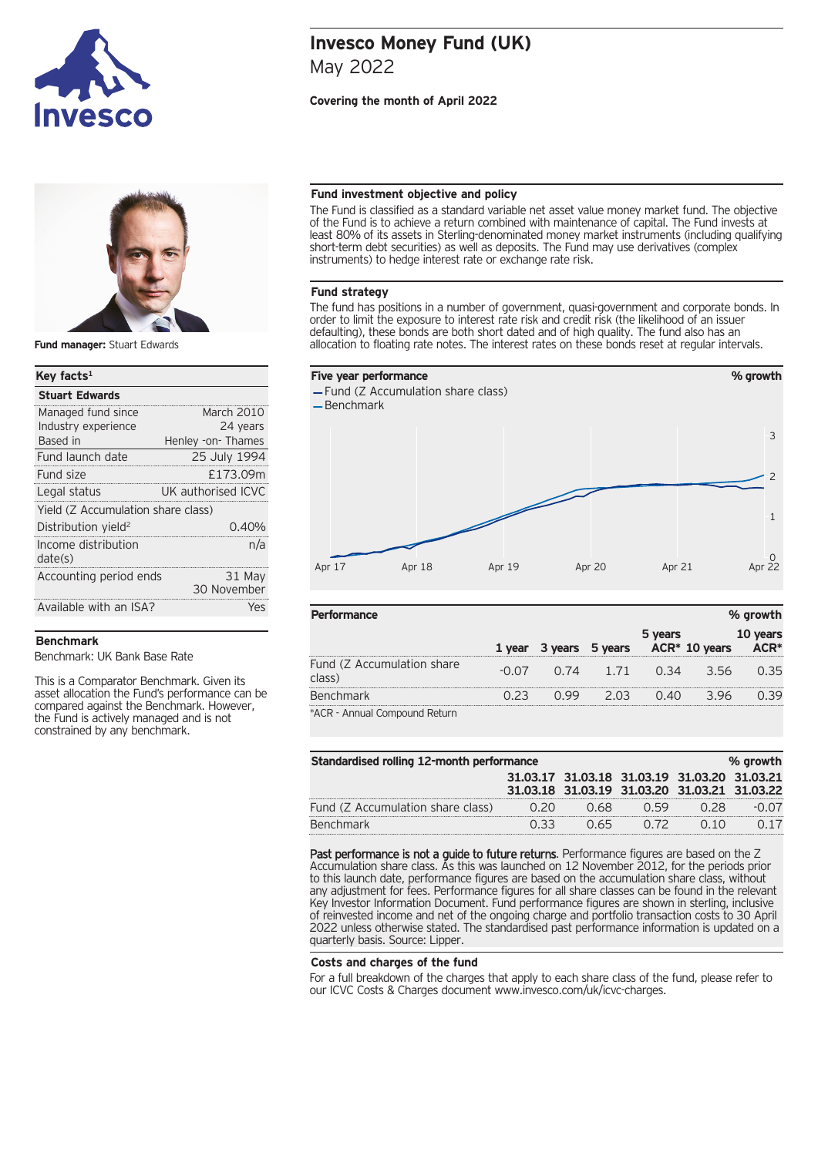



**Fund manager:** Stuart Edwards

# **Key facts1** Managed fund since March 2010 Industry experience 24 years Based in **Henley -on- Thames Stuart Edwards** Fund launch date 25 July 1994 Fund size **E173.09m** Legal status **UK** authorised ICVC Yield (Z Accumulation share class) Distribution vield<sup>2</sup> 0.40% Income distribution date(s) n/a Accounting period ends 31 May 30 November Available with an ISA? Yes

## **Benchmark**

Benchmark: UK Bank Base Rate

This is a Comparator Benchmark. Given its asset allocation the Fund's performance can be compared against the Benchmark. However, the Fund is actively managed and is not constrained by any benchmark.

# **Invesco Money Fund (UK)** May 2022

## **Covering the month of April 2022**

### **Fund investment objective and policy**

The Fund is classified as a standard variable net asset value money market fund. The objective of the Fund is to achieve a return combined with maintenance of capital. The Fund invests at least 80% of its assets in Sterling-denominated money market instruments (including qualifying short-term debt securities) as well as deposits. The Fund may use derivatives (complex instruments) to hedge interest rate or exchange rate risk.

## **Fund strategy**

The fund has positions in a number of government, quasi-government and corporate bonds. In order to limit the exposure to interest rate risk and credit risk (the likelihood of an issuer defaulting), these bonds are both short dated and of high quality. The fund also has an allocation to floating rate notes. The interest rates on these bonds reset at regular intervals.



| <b>Performance</b>                   |        |                 |         |                  | % growth |
|--------------------------------------|--------|-----------------|---------|------------------|----------|
|                                      | 1 vear | 3 years 5 years | 5 years | $ACR^*$ 10 years | 10 years |
| Fund (Z Accumulation share<br>class) | -0.07  | 0.74 1.71       | O 34    | 356              | 0.35     |
| <b>Benchmark</b>                     |        | 2 03            |         |                  | N 39     |
| *ACR - Annual Compound Return        |        |                 |         |                  |          |

| Standardised rolling 12-month performance<br>% growth |  |       |                                              |  |  |  |
|-------------------------------------------------------|--|-------|----------------------------------------------|--|--|--|
|                                                       |  |       | 31.03.17 31.03.18 31.03.19 31.03.20 31.03.21 |  |  |  |
|                                                       |  |       | 31.03.18 31.03.19 31.03.20 31.03.21 31.03.22 |  |  |  |
| Fund (Z Accumulation share class)                     |  | 168   |                                              |  |  |  |
| Benchmark                                             |  | (165) |                                              |  |  |  |

Past performance is not a guide to future returns. Performance figures are based on the Z Accumulation share class. As this was launched on 12 November 2012, for the periods prior to this launch date, performance figures are based on the accumulation share class, without any adjustment for fees. Performance figures for all share classes can be found in the relevant Key Investor Information Document. Fund performance figures are shown in sterling, inclusive of reinvested income and net of the ongoing charge and portfolio transaction costs to 30 April 2022 unless otherwise stated. The standardised past performance information is updated on a quarterly basis. Source: Lipper.

#### **Costs and charges of the fund**

For a full breakdown of the charges that apply to each share class of the fund, please refer to our ICVC Costs & Charges document www.invesco.com/uk/icvc-charges.